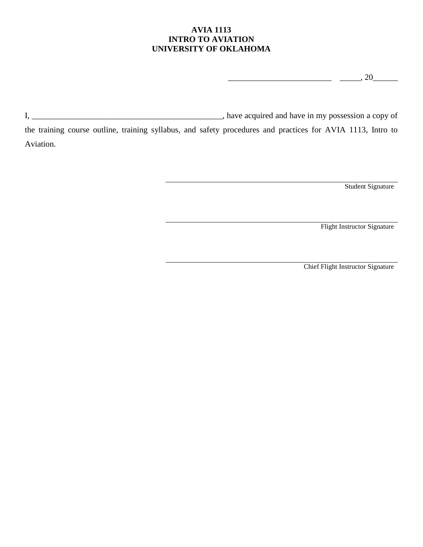# **AVIA 1113 INTRO TO AVIATION UNIVERSITY OF OKLAHOMA**

 $\frac{1}{20}$  , 20  $\frac{1}{20}$ 

I, \_\_\_\_\_\_\_\_\_\_\_\_\_\_\_\_\_\_\_\_\_\_\_\_\_\_\_\_\_\_\_\_\_\_\_\_\_\_\_\_\_\_\_\_\_\_, have acquired and have in my possession a copy of

the training course outline, training syllabus, and safety procedures and practices for AVIA 1113, Intro to Aviation.

Student Signature

Flight Instructor Signature

Chief Flight Instructor Signature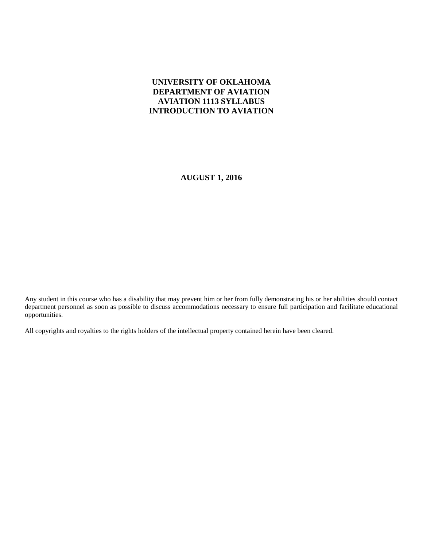# **UNIVERSITY OF OKLAHOMA DEPARTMENT OF AVIATION AVIATION 1113 SYLLABUS INTRODUCTION TO AVIATION**

**AUGUST 1, 2016**

Any student in this course who has a disability that may prevent him or her from fully demonstrating his or her abilities should contact department personnel as soon as possible to discuss accommodations necessary to ensure full participation and facilitate educational opportunities.

All copyrights and royalties to the rights holders of the intellectual property contained herein have been cleared.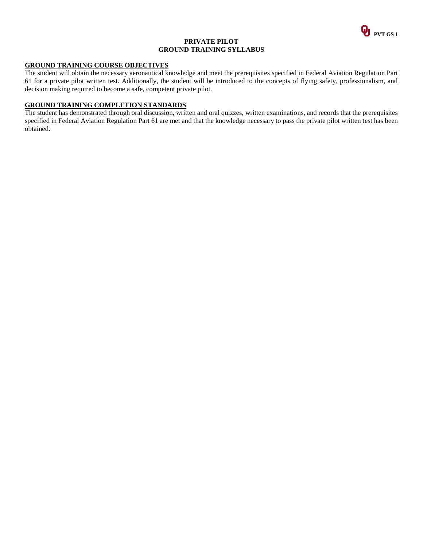

#### **PRIVATE PILOT GROUND TRAINING SYLLABUS**

### **GROUND TRAINING COURSE OBJECTIVES**

The student will obtain the necessary aeronautical knowledge and meet the prerequisites specified in Federal Aviation Regulation Part 61 for a private pilot written test. Additionally, the student will be introduced to the concepts of flying safety, professionalism, and decision making required to become a safe, competent private pilot.

## **GROUND TRAINING COMPLETION STANDARDS**

The student has demonstrated through oral discussion, written and oral quizzes, written examinations, and records that the prerequisites specified in Federal Aviation Regulation Part 61 are met and that the knowledge necessary to pass the private pilot written test has been obtained.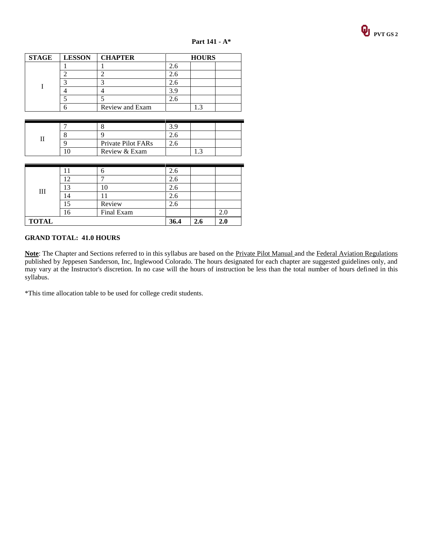

| <b>STAGE</b> | <b>LESSON</b> | <b>CHAPTER</b>  | <b>HOURS</b> |  |  |
|--------------|---------------|-----------------|--------------|--|--|
|              |               |                 |              |  |  |
|              |               |                 |              |  |  |
|              |               |                 |              |  |  |
|              |               |                 | 39           |  |  |
|              |               |                 |              |  |  |
|              |               | Review and Exam |              |  |  |

|  | Private Pilot FARs |  |  |
|--|--------------------|--|--|
|  | Review & Exam      |  |  |

| Ш            |            | h          | 2.6 |     |  |
|--------------|------------|------------|-----|-----|--|
|              |            | −          | 2.6 |     |  |
|              | $\sqrt{2}$ |            | 2.6 |     |  |
|              | 4          |            | 2.6 |     |  |
|              |            | Review     | 2.6 |     |  |
|              | ، 6        | Final Exam |     |     |  |
| <b>TOTAL</b> |            | 36.4       | 4.u | 4.u |  |

## **GRAND TOTAL: 41.0 HOURS**

Note: The Chapter and Sections referred to in this syllabus are based on the Private Pilot Manual and the Federal Aviation Regulations published by Jeppesen Sanderson, Inc, Inglewood Colorado. The hours designated for each chapter are suggested guidelines only, and may vary at the Instructor's discretion. In no case will the hours of instruction be less than the total number of hours defined in this syllabus.

\*This time allocation table to be used for college credit students.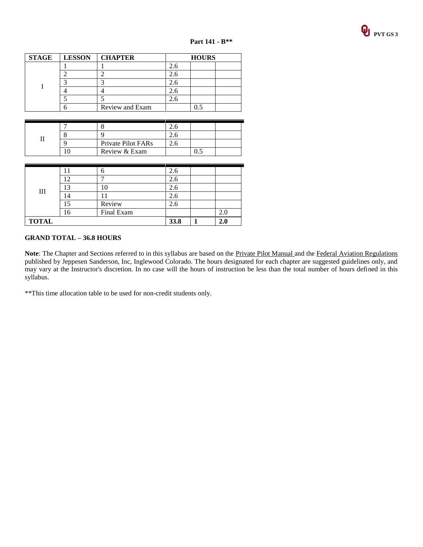

| <b>STAGE</b> | <b>LESSON</b> | <b>CHAPTER</b>  | <b>HOURS</b> |  |  |
|--------------|---------------|-----------------|--------------|--|--|
|              |               |                 |              |  |  |
|              |               |                 |              |  |  |
|              |               |                 |              |  |  |
|              |               |                 |              |  |  |
|              |               |                 |              |  |  |
|              |               | Review and Exam |              |  |  |

|  | Private Pilot FARs |  |  |
|--|--------------------|--|--|
|  | Review & Exam      |  |  |

| Ш            |   | n          | 2.6 |     |
|--------------|---|------------|-----|-----|
|              |   | −          | 2.6 |     |
|              | ∍ |            | 2.6 |     |
|              | 4 |            | 2.6 |     |
|              |   | Review     | 2.6 |     |
|              |   | Final Exam |     | 2.0 |
| <b>TOTAL</b> |   | 33.8       |     |     |

## **GRAND TOTAL – 36.8 HOURS**

Note: The Chapter and Sections referred to in this syllabus are based on the **Private Pilot Manual** and the Federal Aviation Regulations published by Jeppesen Sanderson, Inc, Inglewood Colorado. The hours designated for each chapter are suggested guidelines only, and may vary at the Instructor's discretion. In no case will the hours of instruction be less than the total number of hours defined in this syllabus.

\*\*This time allocation table to be used for non-credit students only.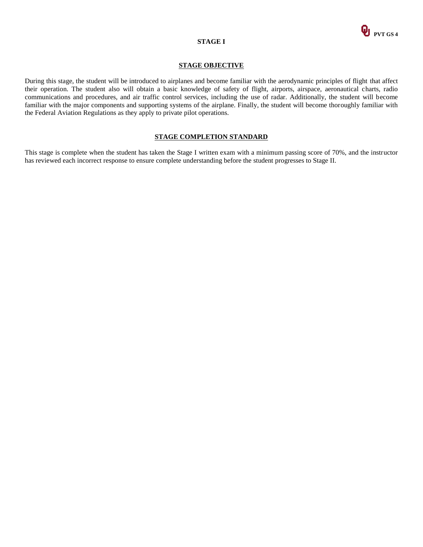

### **STAGE I**

#### **STAGE OBJECTIVE**

During this stage, the student will be introduced to airplanes and become familiar with the aerodynamic principles of flight that affect their operation. The student also will obtain a basic knowledge of safety of flight, airports, airspace, aeronautical charts, radio communications and procedures, and air traffic control services, including the use of radar. Additionally, the student will become familiar with the major components and supporting systems of the airplane. Finally, the student will become thoroughly familiar with the Federal Aviation Regulations as they apply to private pilot operations.

#### **STAGE COMPLETION STANDARD**

This stage is complete when the student has taken the Stage I written exam with a minimum passing score of 70%, and the instructor has reviewed each incorrect response to ensure complete understanding before the student progresses to Stage II.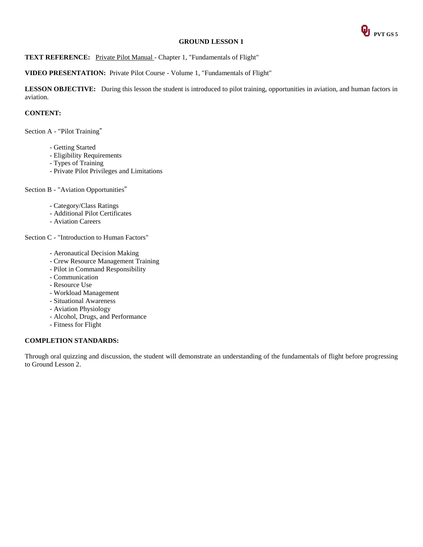

## TEXT REFERENCE: Private Pilot Manual - Chapter 1, "Fundamentals of Flight"

## **VIDEO PRESENTATION:** Private Pilot Course - Volume 1, "Fundamentals of Flight"

**LESSON OBJECTIVE:** During this lesson the student is introduced to pilot training, opportunities in aviation, and human factors in aviation.

### **CONTENT:**

Section A - "Pilot Training"

- Getting Started
- Eligibility Requirements
- Types of Training
- Private Pilot Privileges and Limitations

## Section B - "Aviation Opportunities"

- Category/Class Ratings
- Additional Pilot Certificates
- Aviation Careers

Section C - "Introduction to Human Factors"

- Aeronautical Decision Making
- Crew Resource Management Training
- Pilot in Command Responsibility
- Communication
- Resource Use
- Workload Management
- Situational Awareness
- Aviation Physiology
- Alcohol, Drugs, and Performance
- Fitness for Flight

#### **COMPLETION STANDARDS:**

Through oral quizzing and discussion, the student will demonstrate an understanding of the fundamentals of flight before progressing to Ground Lesson 2.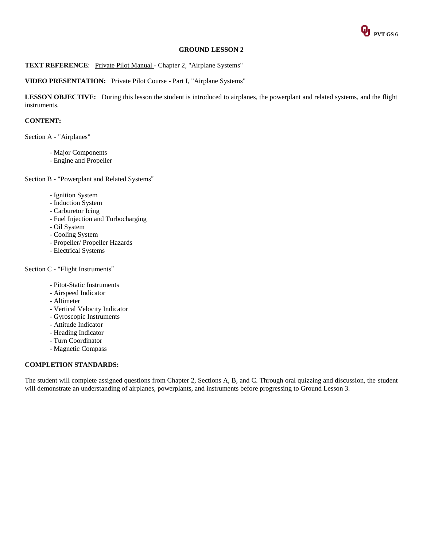

## **TEXT REFERENCE:** Private Pilot Manual - Chapter 2, "Airplane Systems"

## **VIDEO PRESENTATION:** Private Pilot Course - Part I, "Airplane Systems"

**LESSON OBJECTIVE:** During this lesson the student is introduced to airplanes, the powerplant and related systems, and the flight instruments.

#### **CONTENT:**

Section A - "Airplanes"

- Major Components
- Engine and Propeller

Section B - "Powerplant and Related Systems"

- Ignition System
- Induction System
- Carburetor Icing
- Fuel Injection and Turbocharging
- Oil System
- Cooling System
- Propeller/ Propeller Hazards
- Electrical Systems

#### Section C - "Flight Instruments"

- Pitot-Static Instruments
- Airspeed Indicator
- Altimeter
- Vertical Velocity Indicator
- Gyroscopic Instruments
- Attitude Indicator
- Heading Indicator
- Turn Coordinator
- Magnetic Compass

## **COMPLETION STANDARDS:**

The student will complete assigned questions from Chapter 2, Sections A, B, and C. Through oral quizzing and discussion, the student will demonstrate an understanding of airplanes, powerplants, and instruments before progressing to Ground Lesson 3.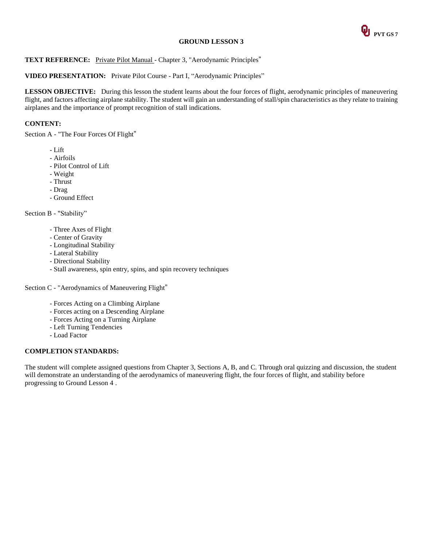

## **TEXT REFERENCE:** Private Pilot Manual - Chapter 3, "Aerodynamic Principles"

## **VIDEO PRESENTATION:** Private Pilot Course - Part I, "Aerodynamic Principles"

**LESSON OBJECTIVE:** During this lesson the student learns about the four forces of flight, aerodynamic principles of maneuvering flight, and factors affecting airplane stability. The student will gain an understanding of stall/spin characteristics as they relate to training airplanes and the importance of prompt recognition of stall indications.

## **CONTENT:**

Section A - "The Four Forces Of Flight"

- Lift
- Airfoils
- Pilot Control of Lift
- Weight
- Thrust
- Drag
- Ground Effect

Section B - "Stability"

- Three Axes of Flight
- Center of Gravity
- Longitudinal Stability
- Lateral Stability
- Directional Stability
- Stall awareness, spin entry, spins, and spin recovery techniques

Section C - "Aerodynamics of Maneuvering Flight"

- Forces Acting on a Climbing Airplane
- Forces acting on a Descending Airplane
- Forces Acting on a Turning Airplane
- Left Turning Tendencies
- Load Factor

## **COMPLETION STANDARDS:**

The student will complete assigned questions from Chapter 3, Sections A, B, and C. Through oral quizzing and discussion, the student will demonstrate an understanding of the aerodynamics of maneuvering flight, the four forces of flight, and stability before progressing to Ground Lesson 4 .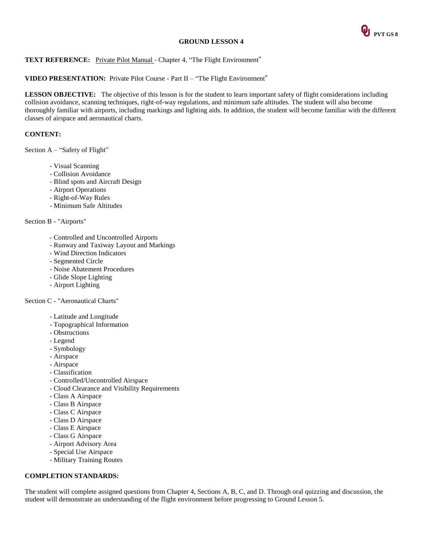

## **TEXT REFERENCE:** Private Pilot Manual - Chapter 4, "The Flight Environment"

#### **VIDEO PRESENTATION:** Private Pilot Course - Part II – "The Flight Environment"

**LESSON OBJECTIVE:** The objective of this lesson is for the student to learn important safety of flight considerations including collision avoidance, scanning techniques, right-of-way regulations, and minimum safe altitudes. The student will also become thoroughly familiar with airports, including markings and lighting aids. In addition, the student will become familiar with the different classes of airspace and aeronautical charts.

#### **CONTENT:**

Section A – "Safety of Flight"

- Visual Scanning
- Collision Avoidance
- Blind spots and Aircraft Design
- Airport Operations
- Right-of-Way Rules
- Minimum Safe Altitudes

## Section B - "Airports"

- Controlled and Uncontrolled Airports
- Runway and Taxiway Layout and Markings
- Wind Direction Indicators
- Segmented Circle
- Noise Abatement Procedures
- Glide Slope Lighting
- Airport Lighting

Section C - "Aeronautical Charts"

- Latitude and Longitude
- Topographical Information
- Obstructions
- Legend
- Symbology
- Airspace
- Airspace
- Classification
- Controlled/Uncontrolled Airspace
- Cloud Clearance and Visibility Requirements
- Class A Airspace
- Class B Airspace
- Class C Airspace
- Class D Airspace
- Class E Airspace
- Class G Airspace
- Airport Advisory Area
- Special Use Airspace
- Military Training Routes

#### **COMPLETION STANDARDS:**

The student will complete assigned questions from Chapter 4, Sections A, B, C, and D. Through oral quizzing and discussion, the student will demonstrate an understanding of the flight environment before progressing to Ground Lesson 5.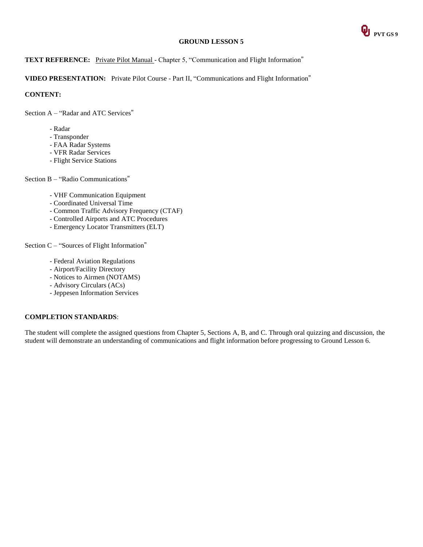

## **TEXT REFERENCE:** Private Pilot Manual - Chapter 5, "Communication and Flight Information"

**VIDEO PRESENTATION:** Private Pilot Course - Part II, "Communications and Flight Information"

**CONTENT:**

Section A – "Radar and ATC Services"

- Radar
- Transponder
- FAA Radar Systems
- VFR Radar Services
- Flight Service Stations

Section B – "Radio Communications"

- VHF Communication Equipment
- Coordinated Universal Time
- Common Traffic Advisory Frequency (CTAF)
- Controlled Airports and ATC Procedures
- Emergency Locator Transmitters (ELT)

Section C – "Sources of Flight Information"

- Federal Aviation Regulations
- Airport/Facility Directory
- Notices to Airmen (NOTAMS)
- Advisory Circulars (ACs)
- Jeppesen Information Services

## **COMPLETION STANDARDS**:

The student will complete the assigned questions from Chapter 5, Sections A, B, and C. Through oral quizzing and discussion, the student will demonstrate an understanding of communications and flight information before progressing to Ground Lesson 6.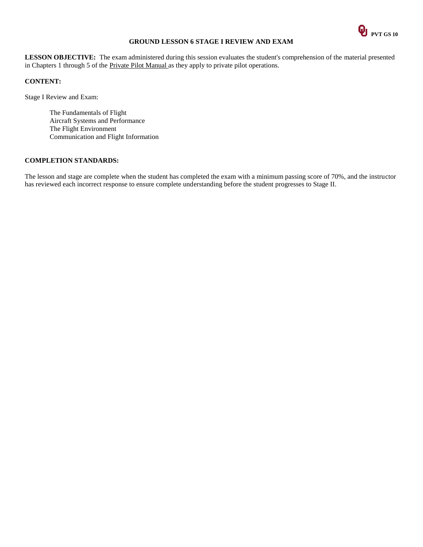

## **GROUND LESSON 6 STAGE I REVIEW AND EXAM**

**LESSON OBJECTIVE:** The exam administered during this session evaluates the student's comprehension of the material presented in Chapters 1 through 5 of the Private Pilot Manual as they apply to private pilot operations.

## **CONTENT:**

Stage I Review and Exam:

The Fundamentals of Flight Aircraft Systems and Performance The Flight Environment Communication and Flight Information

## **COMPLETION STANDARDS:**

The lesson and stage are complete when the student has completed the exam with a minimum passing score of 70%, and the instructor has reviewed each incorrect response to ensure complete understanding before the student progresses to Stage II.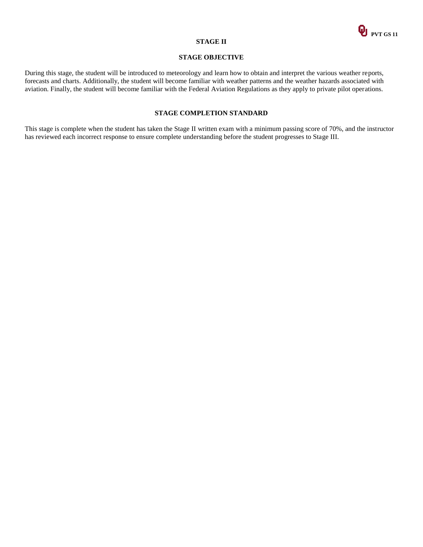

#### **STAGE II**

## **STAGE OBJECTIVE**

During this stage, the student will be introduced to meteorology and learn how to obtain and interpret the various weather reports, forecasts and charts. Additionally, the student will become familiar with weather patterns and the weather hazards associated with aviation. Finally, the student will become familiar with the Federal Aviation Regulations as they apply to private pilot operations.

### **STAGE COMPLETION STANDARD**

This stage is complete when the student has taken the Stage II written exam with a minimum passing score of 70%, and the instructor has reviewed each incorrect response to ensure complete understanding before the student progresses to Stage III.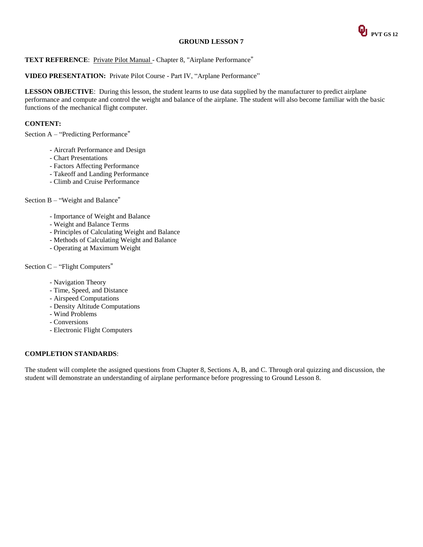

### **TEXT REFERENCE:** Private Pilot Manual - Chapter 8, "Airplane Performance"

### **VIDEO PRESENTATION:** Private Pilot Course - Part IV, "Arplane Performance"

**LESSON OBJECTIVE**: During this lesson, the student learns to use data supplied by the manufacturer to predict airplane performance and compute and control the weight and balance of the airplane. The student will also become familiar with the basic functions of the mechanical flight computer.

## **CONTENT:**

Section A – "Predicting Performance"

- Aircraft Performance and Design
- Chart Presentations
- Factors Affecting Performance
- Takeoff and Landing Performance
- Climb and Cruise Performance

Section B – "Weight and Balance"

- Importance of Weight and Balance
- Weight and Balance Terms
- Principles of Calculating Weight and Balance
- Methods of Calculating Weight and Balance
- Operating at Maximum Weight

#### Section C – "Flight Computers"

- Navigation Theory
- Time, Speed, and Distance
- Airspeed Computations
- Density Altitude Computations
- Wind Problems
- Conversions
- Electronic Flight Computers

#### **COMPLETION STANDARDS**:

The student will complete the assigned questions from Chapter 8, Sections A, B, and C. Through oral quizzing and discussion, the student will demonstrate an understanding of airplane performance before progressing to Ground Lesson 8.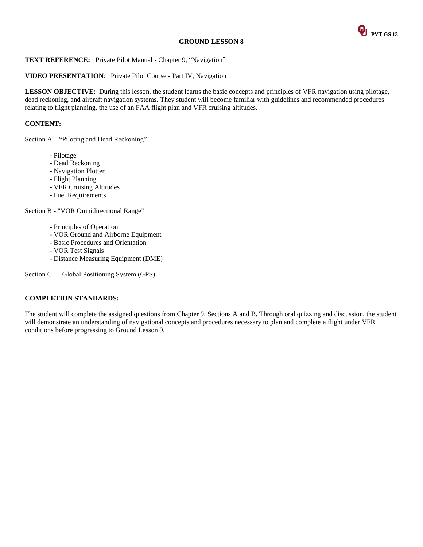

## **TEXT REFERENCE:** Private Pilot Manual - Chapter 9, "Navigation"

## **VIDEO PRESENTATION**: Private Pilot Course - Part IV, Navigation

**LESSON OBJECTIVE**: During this lesson, the student learns the basic concepts and principles of VFR navigation using pilotage, dead reckoning, and aircraft navigation systems. They student will become familiar with guidelines and recommended procedures relating to flight planning, the use of an FAA flight plan and VFR cruising altitudes.

## **CONTENT:**

Section A – "Piloting and Dead Reckoning"

- Pilotage
- Dead Reckoning
- Navigation Plotter
- Flight Planning
- VFR Cruising Altitudes
- Fuel Requirements

Section B - "VOR Omnidirectional Range"

- Principles of Operation
- VOR Ground and Airborne Equipment
- Basic Procedures and Orientation
- VOR Test Signals
- Distance Measuring Equipment (DME)

Section C – Global Positioning System (GPS)

## **COMPLETION STANDARDS:**

The student will complete the assigned questions from Chapter 9, Sections A and B. Through oral quizzing and discussion, the student will demonstrate an understanding of navigational concepts and procedures necessary to plan and complete a flight under VFR conditions before progressing to Ground Lesson 9.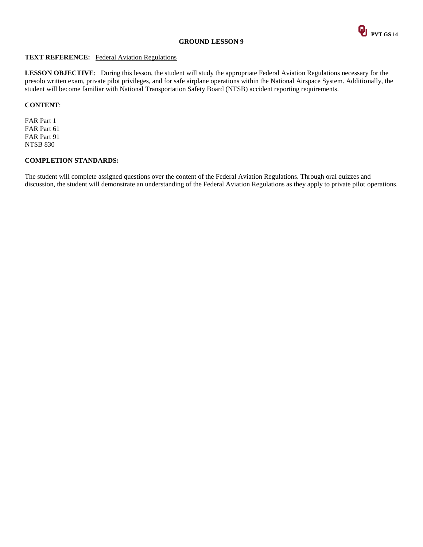

#### **TEXT REFERENCE:** Federal Aviation Regulations

**LESSON OBJECTIVE**: During this lesson, the student will study the appropriate Federal Aviation Regulations necessary for the presolo written exam, private pilot privileges, and for safe airplane operations within the National Airspace System. Additionally, the student will become familiar with National Transportation Safety Board (NTSB) accident reporting requirements.

### **CONTENT**:

FAR Part 1 FAR Part 61 FAR Part 91 NTSB 830

#### **COMPLETION STANDARDS:**

The student will complete assigned questions over the content of the Federal Aviation Regulations. Through oral quizzes and discussion, the student will demonstrate an understanding of the Federal Aviation Regulations as they apply to private pilot operations.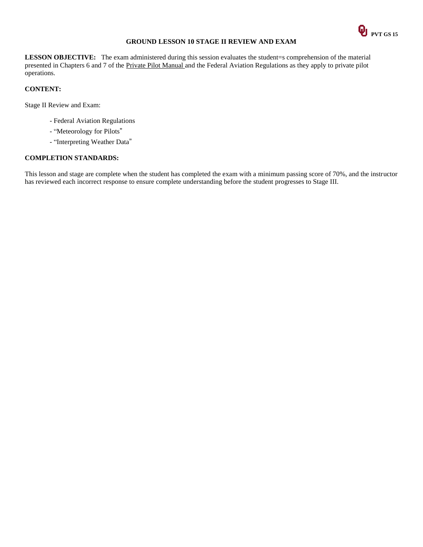

## **GROUND LESSON 10 STAGE II REVIEW AND EXAM**

**LESSON OBJECTIVE:** The exam administered during this session evaluates the student=s comprehension of the material presented in Chapters 6 and 7 of the Private Pilot Manual and the Federal Aviation Regulations as they apply to private pilot operations.

## **CONTENT:**

Stage II Review and Exam:

- Federal Aviation Regulations
- "Meteorology for Pilots"
- "Interpreting Weather Data"

## **COMPLETION STANDARDS:**

This lesson and stage are complete when the student has completed the exam with a minimum passing score of 70%, and the instructor has reviewed each incorrect response to ensure complete understanding before the student progresses to Stage III.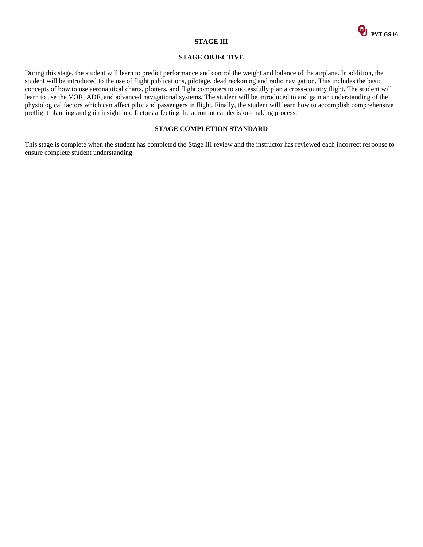

#### **STAGE III**

#### **STAGE OBJECTIVE**

During this stage, the student will learn to predict performance and control the weight and balance of the airplane. In addition, the student will be introduced to the use of flight publications, pilotage, dead reckoning and radio navigation. This includes the basic concepts of how to use aeronautical charts, plotters, and flight computers to successfully plan a cross-country flight. The student will learn to use the VOR, ADF, and advanced navigational systems. The student will be introduced to and gain an understanding of the physiological factors which can affect pilot and passengers in flight. Finally, the student will learn how to accomplish comprehensive preflight planning and gain insight into factors affecting the aeronautical decision-making process.

#### **STAGE COMPLETION STANDARD**

This stage is complete when the student has completed the Stage III review and the instructor has reviewed each incorrect response to ensure complete student understanding.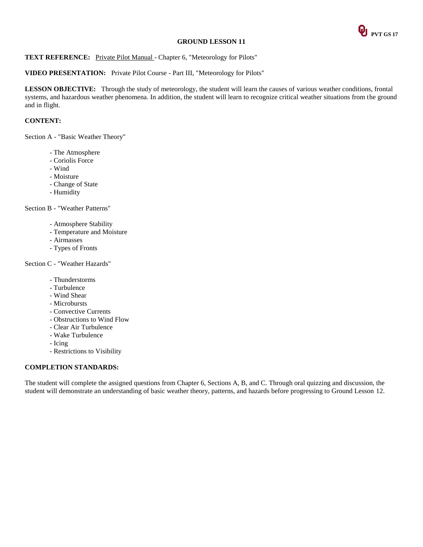

## TEXT REFERENCE: Private Pilot Manual - Chapter 6, "Meteorology for Pilots"

#### **VIDEO PRESENTATION:** Private Pilot Course - Part III, "Meteorology for Pilots"

**LESSON OBJECTIVE:** Through the study of meteorology, the student will learn the causes of various weather conditions, frontal systems, and hazardous weather phenomena. In addition, the student will learn to recognize critical weather situations from the ground and in flight.

### **CONTENT:**

Section A - "Basic Weather Theory"

- The Atmosphere
- Coriolis Force
- Wind
- Moisture
- Change of State
- Humidity

Section B - "Weather Patterns"

- Atmosphere Stability
- Temperature and Moisture
- Airmasses
- Types of Fronts

Section C - "Weather Hazards"

- Thunderstorms
- Turbulence
- Wind Shear
- Microbursts
- Convective Currents
- Obstructions to Wind Flow
- Clear Air Turbulence
- Wake Turbulence
- Icing
- Restrictions to Visibility

#### **COMPLETION STANDARDS:**

The student will complete the assigned questions from Chapter 6, Sections A, B, and C. Through oral quizzing and discussion, the student will demonstrate an understanding of basic weather theory, patterns, and hazards before progressing to Ground Lesson 12.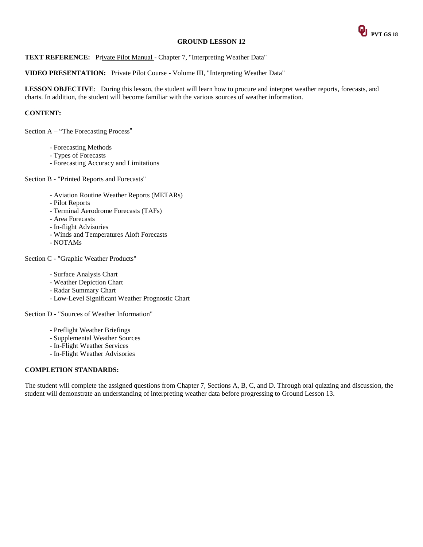

**TEXT REFERENCE:** Private Pilot Manual - Chapter 7, "Interpreting Weather Data"

**VIDEO PRESENTATION:** Private Pilot Course - Volume III, "Interpreting Weather Data"

**LESSON OBJECTIVE**: During this lesson, the student will learn how to procure and interpret weather reports, forecasts, and charts. In addition, the student will become familiar with the various sources of weather information.

## **CONTENT:**

Section A – "The Forecasting Process"

- Forecasting Methods
- Types of Forecasts
- Forecasting Accuracy and Limitations

Section B - "Printed Reports and Forecasts"

- Aviation Routine Weather Reports (METARs)
- Pilot Reports
- Terminal Aerodrome Forecasts (TAFs)
- Area Forecasts
- In-flight Advisories
- Winds and Temperatures Aloft Forecasts
- NOTAMs

Section C - "Graphic Weather Products"

- Surface Analysis Chart
- Weather Depiction Chart
- Radar Summary Chart
- Low-Level Significant Weather Prognostic Chart

Section D - "Sources of Weather Information"

- Preflight Weather Briefings
- Supplemental Weather Sources
- In-Flight Weather Services
- In-Flight Weather Advisories

## **COMPLETION STANDARDS:**

The student will complete the assigned questions from Chapter 7, Sections A, B, C, and D. Through oral quizzing and discussion, the student will demonstrate an understanding of interpreting weather data before progressing to Ground Lesson 13.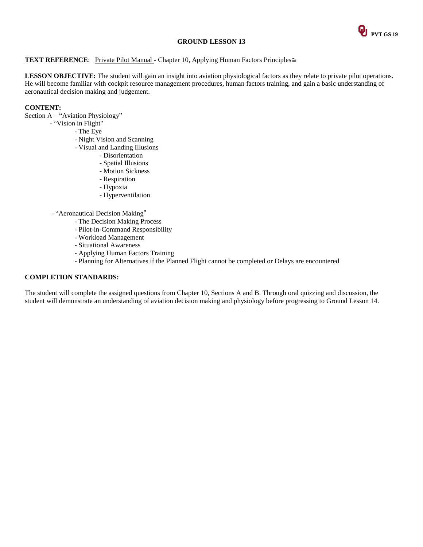

#### **TEXT REFERENCE**: Private Pilot Manual - Chapter 10, Applying Human Factors Principles≅

LESSON OBJECTIVE: The student will gain an insight into aviation physiological factors as they relate to private pilot operations. He will become familiar with cockpit resource management procedures, human factors training, and gain a basic understanding of aeronautical decision making and judgement.

## **CONTENT:**

Section A – "Aviation Physiology"

- "Vision in Flight"
	- The Eye
	- Night Vision and Scanning
	- Visual and Landing Illusions
		- Disorientation
			- Spatial Illusions
			- Motion Sickness
			- Respiration
			- Hypoxia
			- Hyperventilation

- "Aeronautical Decision Making"

- The Decision Making Process
- Pilot-in-Command Responsibility
- Workload Management
- Situational Awareness
- Applying Human Factors Training
- Planning for Alternatives if the Planned Flight cannot be completed or Delays are encountered

#### **COMPLETION STANDARDS:**

The student will complete the assigned questions from Chapter 10, Sections A and B. Through oral quizzing and discussion, the student will demonstrate an understanding of aviation decision making and physiology before progressing to Ground Lesson 14.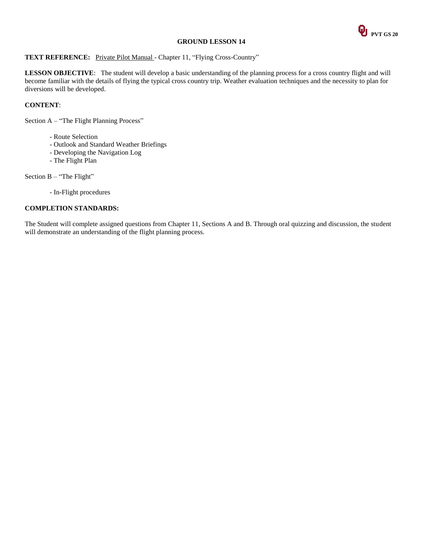

## **TEXT REFERENCE:** Private Pilot Manual - Chapter 11, "Flying Cross-Country"

**LESSON OBJECTIVE**: The student will develop a basic understanding of the planning process for a cross country flight and will become familiar with the details of flying the typical cross country trip. Weather evaluation techniques and the necessity to plan for diversions will be developed.

## **CONTENT**:

Section A – "The Flight Planning Process"

- Route Selection
- Outlook and Standard Weather Briefings
- Developing the Navigation Log
- The Flight Plan

Section B – "The Flight"

- In-Flight procedures

#### **COMPLETION STANDARDS:**

The Student will complete assigned questions from Chapter 11, Sections A and B. Through oral quizzing and discussion, the student will demonstrate an understanding of the flight planning process.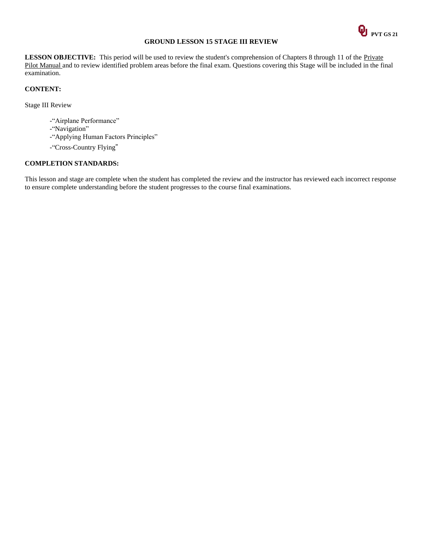

## **GROUND LESSON 15 STAGE III REVIEW**

LESSON OBJECTIVE: This period will be used to review the student's comprehension of Chapters 8 through 11 of the Private Pilot Manual and to review identified problem areas before the final exam. Questions covering this Stage will be included in the final examination.

#### **CONTENT:**

Stage III Review

- -"Airplane Performance"
- -"Navigation"
- -"Applying Human Factors Principles"
- -"Cross-Country Flying"

## **COMPLETION STANDARDS:**

This lesson and stage are complete when the student has completed the review and the instructor has reviewed each incorrect response to ensure complete understanding before the student progresses to the course final examinations.